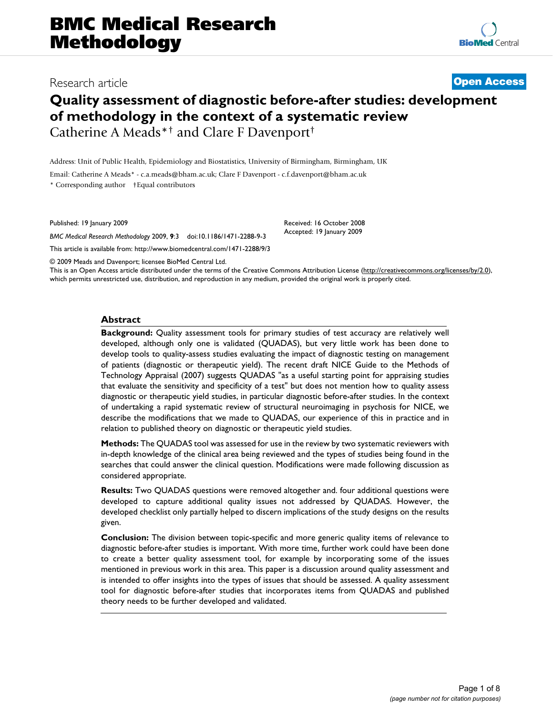## Research article **[Open Access](http://www.biomedcentral.com/info/about/charter/)**

# **Quality assessment of diagnostic before-after studies: development of methodology in the context of a systematic review** Catherine A Meads\*† and Clare F Davenport†

Address: Unit of Public Health, Epidemiology and Biostatistics, University of Birmingham, Birmingham, UK

Email: Catherine A Meads\* - c.a.meads@bham.ac.uk; Clare F Davenport - c.f.davenport@bham.ac.uk

\* Corresponding author †Equal contributors

Published: 19 January 2009

*BMC Medical Research Methodology* 2009, **9**:3 doi:10.1186/1471-2288-9-3 [This article is available from: http://www.biomedcentral.com/1471-2288/9/3](http://www.biomedcentral.com/1471-2288/9/3) Received: 16 October 2008 Accepted: 19 January 2009

© 2009 Meads and Davenport; licensee BioMed Central Ltd. This is an Open Access article distributed under the terms of the Creative Commons Attribution License [\(http://creativecommons.org/licenses/by/2.0\)](http://creativecommons.org/licenses/by/2.0), which permits unrestricted use, distribution, and reproduction in any medium, provided the original work is properly cited.

#### **Abstract**

**Background:** Quality assessment tools for primary studies of test accuracy are relatively well developed, although only one is validated (QUADAS), but very little work has been done to develop tools to quality-assess studies evaluating the impact of diagnostic testing on management of patients (diagnostic or therapeutic yield). The recent draft NICE Guide to the Methods of Technology Appraisal (2007) suggests QUADAS "as a useful starting point for appraising studies that evaluate the sensitivity and specificity of a test" but does not mention how to quality assess diagnostic or therapeutic yield studies, in particular diagnostic before-after studies. In the context of undertaking a rapid systematic review of structural neuroimaging in psychosis for NICE, we describe the modifications that we made to QUADAS, our experience of this in practice and in relation to published theory on diagnostic or therapeutic yield studies.

**Methods:** The QUADAS tool was assessed for use in the review by two systematic reviewers with in-depth knowledge of the clinical area being reviewed and the types of studies being found in the searches that could answer the clinical question. Modifications were made following discussion as considered appropriate.

**Results:** Two QUADAS questions were removed altogether and. four additional questions were developed to capture additional quality issues not addressed by QUADAS. However, the developed checklist only partially helped to discern implications of the study designs on the results given.

**Conclusion:** The division between topic-specific and more generic quality items of relevance to diagnostic before-after studies is important. With more time, further work could have been done to create a better quality assessment tool, for example by incorporating some of the issues mentioned in previous work in this area. This paper is a discussion around quality assessment and is intended to offer insights into the types of issues that should be assessed. A quality assessment tool for diagnostic before-after studies that incorporates items from QUADAS and published theory needs to be further developed and validated.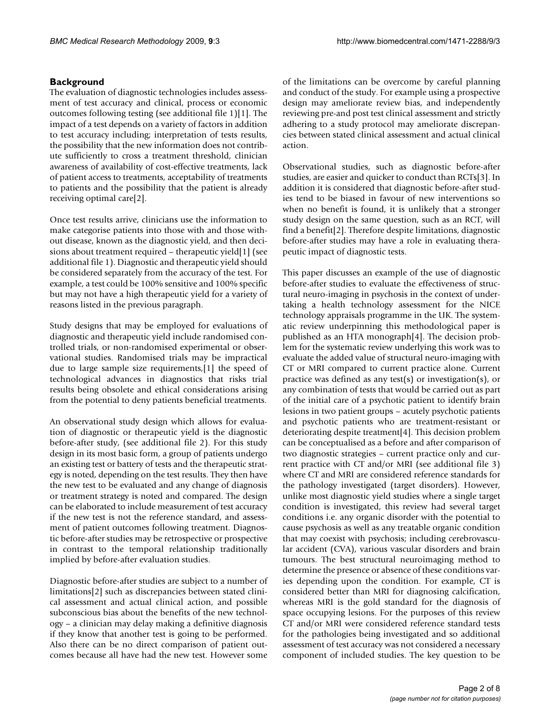## **Background**

The evaluation of diagnostic technologies includes assessment of test accuracy and clinical, process or economic outcomes following testing (see additional file 1)[1]. The impact of a test depends on a variety of factors in addition to test accuracy including; interpretation of tests results, the possibility that the new information does not contribute sufficiently to cross a treatment threshold, clinician awareness of availability of cost-effective treatments, lack of patient access to treatments, acceptability of treatments to patients and the possibility that the patient is already receiving optimal care[2].

Once test results arrive, clinicians use the information to make categorise patients into those with and those without disease, known as the diagnostic yield, and then decisions about treatment required – therapeutic yield[1] (see additional file 1). Diagnostic and therapeutic yield should be considered separately from the accuracy of the test. For example, a test could be 100% sensitive and 100% specific but may not have a high therapeutic yield for a variety of reasons listed in the previous paragraph.

Study designs that may be employed for evaluations of diagnostic and therapeutic yield include randomised controlled trials, or non-randomised experimental or observational studies. Randomised trials may be impractical due to large sample size requirements,[1] the speed of technological advances in diagnostics that risks trial results being obsolete and ethical considerations arising from the potential to deny patients beneficial treatments.

An observational study design which allows for evaluation of diagnostic or therapeutic yield is the diagnostic before-after study, (see additional file 2). For this study design in its most basic form, a group of patients undergo an existing test or battery of tests and the therapeutic strategy is noted, depending on the test results. They then have the new test to be evaluated and any change of diagnosis or treatment strategy is noted and compared. The design can be elaborated to include measurement of test accuracy if the new test is not the reference standard, and assessment of patient outcomes following treatment. Diagnostic before-after studies may be retrospective or prospective in contrast to the temporal relationship traditionally implied by before-after evaluation studies.

Diagnostic before-after studies are subject to a number of limitations[2] such as discrepancies between stated clinical assessment and actual clinical action, and possible subconscious bias about the benefits of the new technology – a clinician may delay making a definitive diagnosis if they know that another test is going to be performed. Also there can be no direct comparison of patient outcomes because all have had the new test. However some of the limitations can be overcome by careful planning and conduct of the study. For example using a prospective design may ameliorate review bias, and independently reviewing pre-and post test clinical assessment and strictly adhering to a study protocol may ameliorate discrepancies between stated clinical assessment and actual clinical action.

Observational studies, such as diagnostic before-after studies, are easier and quicker to conduct than RCTs[3]. In addition it is considered that diagnostic before-after studies tend to be biased in favour of new interventions so when no benefit is found, it is unlikely that a stronger study design on the same question, such as an RCT, will find a benefit[2]. Therefore despite limitations, diagnostic before-after studies may have a role in evaluating therapeutic impact of diagnostic tests.

This paper discusses an example of the use of diagnostic before-after studies to evaluate the effectiveness of structural neuro-imaging in psychosis in the context of undertaking a health technology assessment for the NICE technology appraisals programme in the UK. The systematic review underpinning this methodological paper is published as an HTA monograph[4]. The decision problem for the systematic review underlying this work was to evaluate the added value of structural neuro-imaging with CT or MRI compared to current practice alone. Current practice was defined as any test(s) or investigation(s), or any combination of tests that would be carried out as part of the initial care of a psychotic patient to identify brain lesions in two patient groups – acutely psychotic patients and psychotic patients who are treatment-resistant or deteriorating despite treatment[4]. This decision problem can be conceptualised as a before and after comparison of two diagnostic strategies – current practice only and current practice with CT and/or MRI (see additional file 3) where CT and MRI are considered reference standards for the pathology investigated (target disorders). However, unlike most diagnostic yield studies where a single target condition is investigated, this review had several target conditions i.e. any organic disorder with the potential to cause psychosis as well as any treatable organic condition that may coexist with psychosis; including cerebrovascular accident (CVA), various vascular disorders and brain tumours. The best structural neuroimaging method to determine the presence or absence of these conditions varies depending upon the condition. For example, CT is considered better than MRI for diagnosing calcification, whereas MRI is the gold standard for the diagnosis of space occupying lesions. For the purposes of this review CT and/or MRI were considered reference standard tests for the pathologies being investigated and so additional assessment of test accuracy was not considered a necessary component of included studies. The key question to be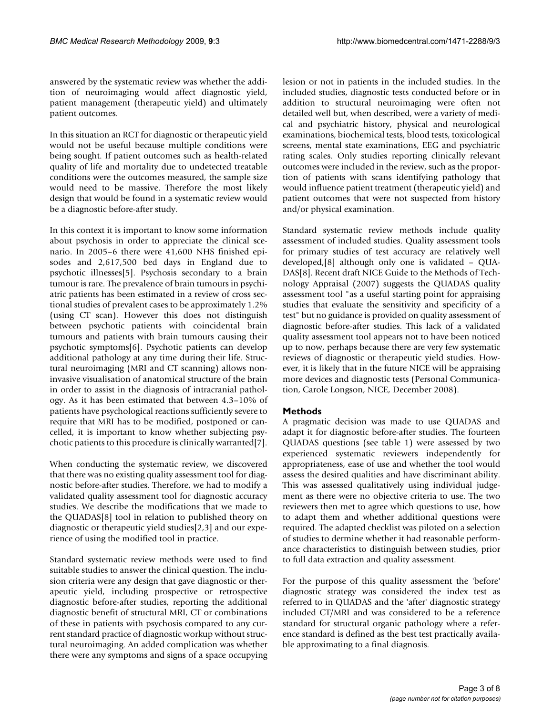answered by the systematic review was whether the addition of neuroimaging would affect diagnostic yield, patient management (therapeutic yield) and ultimately patient outcomes.

In this situation an RCT for diagnostic or therapeutic yield would not be useful because multiple conditions were being sought. If patient outcomes such as health-related quality of life and mortality due to undetected treatable conditions were the outcomes measured, the sample size would need to be massive. Therefore the most likely design that would be found in a systematic review would be a diagnostic before-after study.

In this context it is important to know some information about psychosis in order to appreciate the clinical scenario. In 2005–6 there were 41,600 NHS finished episodes and 2,617,500 bed days in England due to psychotic illnesses[5]. Psychosis secondary to a brain tumour is rare. The prevalence of brain tumours in psychiatric patients has been estimated in a review of cross sectional studies of prevalent cases to be approximately 1.2% (using CT scan). However this does not distinguish between psychotic patients with coincidental brain tumours and patients with brain tumours causing their psychotic symptoms[6]. Psychotic patients can develop additional pathology at any time during their life. Structural neuroimaging (MRI and CT scanning) allows noninvasive visualisation of anatomical structure of the brain in order to assist in the diagnosis of intracranial pathology. As it has been estimated that between 4.3–10% of patients have psychological reactions sufficiently severe to require that MRI has to be modified, postponed or cancelled, it is important to know whether subjecting psychotic patients to this procedure is clinically warranted[7].

When conducting the systematic review, we discovered that there was no existing quality assessment tool for diagnostic before-after studies. Therefore, we had to modify a validated quality assessment tool for diagnostic accuracy studies. We describe the modifications that we made to the QUADAS[8] tool in relation to published theory on diagnostic or therapeutic yield studies[2,3] and our experience of using the modified tool in practice.

Standard systematic review methods were used to find suitable studies to answer the clinical question. The inclusion criteria were any design that gave diagnostic or therapeutic yield, including prospective or retrospective diagnostic before-after studies, reporting the additional diagnostic benefit of structural MRI, CT or combinations of these in patients with psychosis compared to any current standard practice of diagnostic workup without structural neuroimaging. An added complication was whether there were any symptoms and signs of a space occupying lesion or not in patients in the included studies. In the included studies, diagnostic tests conducted before or in addition to structural neuroimaging were often not detailed well but, when described, were a variety of medical and psychiatric history, physical and neurological examinations, biochemical tests, blood tests, toxicological screens, mental state examinations, EEG and psychiatric rating scales. Only studies reporting clinically relevant outcomes were included in the review, such as the proportion of patients with scans identifying pathology that would influence patient treatment (therapeutic yield) and patient outcomes that were not suspected from history and/or physical examination.

Standard systematic review methods include quality assessment of included studies. Quality assessment tools for primary studies of test accuracy are relatively well developed,[8] although only one is validated – QUA-DAS[8]. Recent draft NICE Guide to the Methods of Technology Appraisal (2007) suggests the QUADAS quality assessment tool "as a useful starting point for appraising studies that evaluate the sensitivity and specificity of a test" but no guidance is provided on quality assessment of diagnostic before-after studies. This lack of a validated quality assessment tool appears not to have been noticed up to now, perhaps because there are very few systematic reviews of diagnostic or therapeutic yield studies. However, it is likely that in the future NICE will be appraising more devices and diagnostic tests (Personal Communication, Carole Longson, NICE, December 2008).

## **Methods**

A pragmatic decision was made to use QUADAS and adapt it for diagnostic before-after studies. The fourteen QUADAS questions (see table 1) were assessed by two experienced systematic reviewers independently for appropriateness, ease of use and whether the tool would assess the desired qualities and have discriminant ability. This was assessed qualitatively using individual judgement as there were no objective criteria to use. The two reviewers then met to agree which questions to use, how to adapt them and whether additional questions were required. The adapted checklist was piloted on a selection of studies to dermine whether it had reasonable performance characteristics to distinguish between studies, prior to full data extraction and quality assessment.

For the purpose of this quality assessment the 'before' diagnostic strategy was considered the index test as referred to in QUADAS and the 'after' diagnostic strategy included CT/MRI and was considered to be a reference standard for structural organic pathology where a reference standard is defined as the best test practically available approximating to a final diagnosis.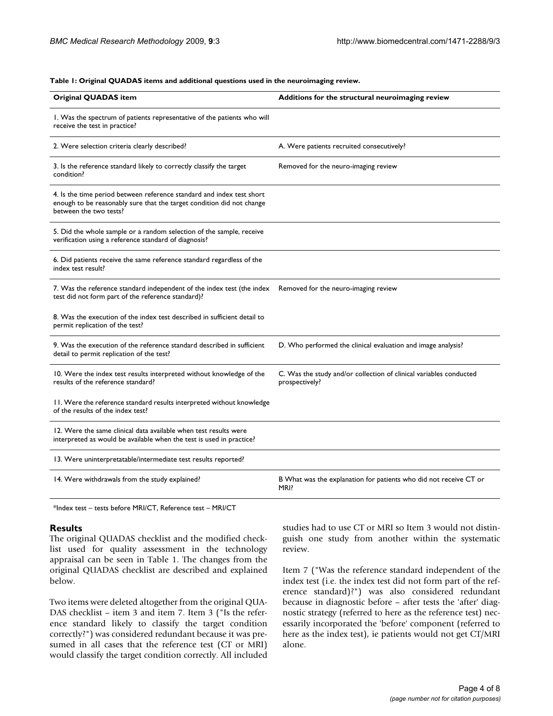#### **Table 1: Original QUADAS items and additional questions used in the neuroimaging review.**

| <b>Original QUADAS item</b>                                                                                                                                              | Additions for the structural neuroimaging review                                     |
|--------------------------------------------------------------------------------------------------------------------------------------------------------------------------|--------------------------------------------------------------------------------------|
| I. Was the spectrum of patients representative of the patients who will<br>receive the test in practice?                                                                 |                                                                                      |
| 2. Were selection criteria clearly described?                                                                                                                            | A. Were patients recruited consecutively?                                            |
| 3. Is the reference standard likely to correctly classify the target<br>condition?                                                                                       | Removed for the neuro-imaging review                                                 |
| 4. Is the time period between reference standard and index test short<br>enough to be reasonably sure that the target condition did not change<br>between the two tests? |                                                                                      |
| 5. Did the whole sample or a random selection of the sample, receive<br>verification using a reference standard of diagnosis?                                            |                                                                                      |
| 6. Did patients receive the same reference standard regardless of the<br>index test result?                                                                              |                                                                                      |
| 7. Was the reference standard independent of the index test (the index<br>test did not form part of the reference standard)?                                             | Removed for the neuro-imaging review                                                 |
| 8. Was the execution of the index test described in sufficient detail to<br>permit replication of the test?                                                              |                                                                                      |
| 9. Was the execution of the reference standard described in sufficient<br>detail to permit replication of the test?                                                      | D. Who performed the clinical evaluation and image analysis?                         |
| 10. Were the index test results interpreted without knowledge of the<br>results of the reference standard?                                                               | C. Was the study and/or collection of clinical variables conducted<br>prospectively? |
| 11. Were the reference standard results interpreted without knowledge<br>of the results of the index test?                                                               |                                                                                      |
| 12. Were the same clinical data available when test results were<br>interpreted as would be available when the test is used in practice?                                 |                                                                                      |
| 13. Were uninterpretatable/intermediate test results reported?                                                                                                           |                                                                                      |
| 14. Were withdrawals from the study explained?                                                                                                                           | B What was the explanation for patients who did not receive CT or<br>MRI?            |

\*Index test – tests before MRI/CT, Reference test – MRI/CT

#### **Results**

The original QUADAS checklist and the modified checklist used for quality assessment in the technology appraisal can be seen in Table 1. The changes from the original QUADAS checklist are described and explained below.

Two items were deleted altogether from the original QUA-DAS checklist – item 3 and item 7. Item 3 ("Is the reference standard likely to classify the target condition correctly?") was considered redundant because it was presumed in all cases that the reference test (CT or MRI) would classify the target condition correctly. All included studies had to use CT or MRI so Item 3 would not distinguish one study from another within the systematic review.

Item 7 ("Was the reference standard independent of the index test (i.e. the index test did not form part of the reference standard)?") was also considered redundant because in diagnostic before – after tests the 'after' diagnostic strategy (referred to here as the reference test) necessarily incorporated the 'before' component (referred to here as the index test), ie patients would not get CT/MRI alone.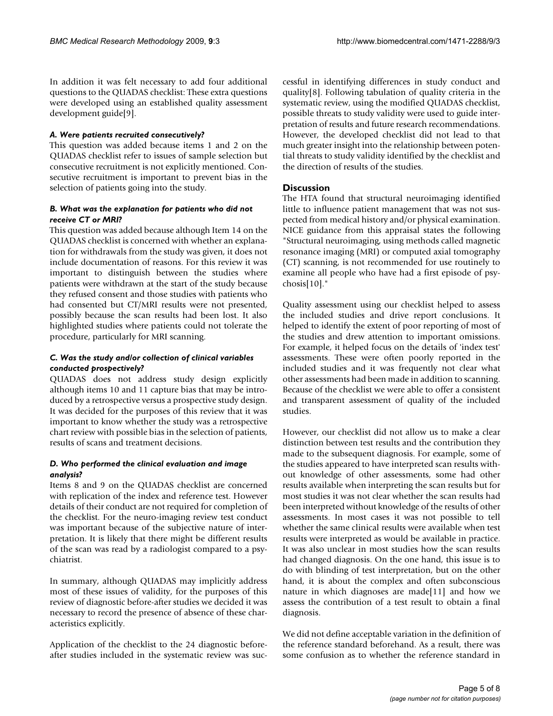In addition it was felt necessary to add four additional questions to the QUADAS checklist: These extra questions were developed using an established quality assessment development guide[9].

#### *A. Were patients recruited consecutively?*

This question was added because items 1 and 2 on the QUADAS checklist refer to issues of sample selection but consecutive recruitment is not explicitly mentioned. Consecutive recruitment is important to prevent bias in the selection of patients going into the study.

#### *B. What was the explanation for patients who did not receive CT or MRI?*

This question was added because although Item 14 on the QUADAS checklist is concerned with whether an explanation for withdrawals from the study was given, it does not include documentation of reasons. For this review it was important to distinguish between the studies where patients were withdrawn at the start of the study because they refused consent and those studies with patients who had consented but CT/MRI results were not presented, possibly because the scan results had been lost. It also highlighted studies where patients could not tolerate the procedure, particularly for MRI scanning.

#### *C. Was the study and/or collection of clinical variables conducted prospectively?*

QUADAS does not address study design explicitly although items 10 and 11 capture bias that may be introduced by a retrospective versus a prospective study design. It was decided for the purposes of this review that it was important to know whether the study was a retrospective chart review with possible bias in the selection of patients, results of scans and treatment decisions.

#### *D. Who performed the clinical evaluation and image analysis?*

Items 8 and 9 on the QUADAS checklist are concerned with replication of the index and reference test. However details of their conduct are not required for completion of the checklist. For the neuro-imaging review test conduct was important because of the subjective nature of interpretation. It is likely that there might be different results of the scan was read by a radiologist compared to a psychiatrist.

In summary, although QUADAS may implicitly address most of these issues of validity, for the purposes of this review of diagnostic before-after studies we decided it was necessary to record the presence of absence of these characteristics explicitly.

Application of the checklist to the 24 diagnostic beforeafter studies included in the systematic review was successful in identifying differences in study conduct and quality[8]. Following tabulation of quality criteria in the systematic review, using the modified QUADAS checklist, possible threats to study validity were used to guide interpretation of results and future research recommendations. However, the developed checklist did not lead to that much greater insight into the relationship between potential threats to study validity identified by the checklist and the direction of results of the studies.

#### **Discussion**

The HTA found that structural neuroimaging identified little to influence patient management that was not suspected from medical history and/or physical examination. NICE guidance from this appraisal states the following "Structural neuroimaging, using methods called magnetic resonance imaging (MRI) or computed axial tomography (CT) scanning, is not recommended for use routinely to examine all people who have had a first episode of psychosis[10]."

Quality assessment using our checklist helped to assess the included studies and drive report conclusions. It helped to identify the extent of poor reporting of most of the studies and drew attention to important omissions. For example, it helped focus on the details of 'index test' assessments. These were often poorly reported in the included studies and it was frequently not clear what other assessments had been made in addition to scanning. Because of the checklist we were able to offer a consistent and transparent assessment of quality of the included studies.

However, our checklist did not allow us to make a clear distinction between test results and the contribution they made to the subsequent diagnosis. For example, some of the studies appeared to have interpreted scan results without knowledge of other assessments, some had other results available when interpreting the scan results but for most studies it was not clear whether the scan results had been interpreted without knowledge of the results of other assessments. In most cases it was not possible to tell whether the same clinical results were available when test results were interpreted as would be available in practice. It was also unclear in most studies how the scan results had changed diagnosis. On the one hand, this issue is to do with blinding of test interpretation, but on the other hand, it is about the complex and often subconscious nature in which diagnoses are made[11] and how we assess the contribution of a test result to obtain a final diagnosis.

We did not define acceptable variation in the definition of the reference standard beforehand. As a result, there was some confusion as to whether the reference standard in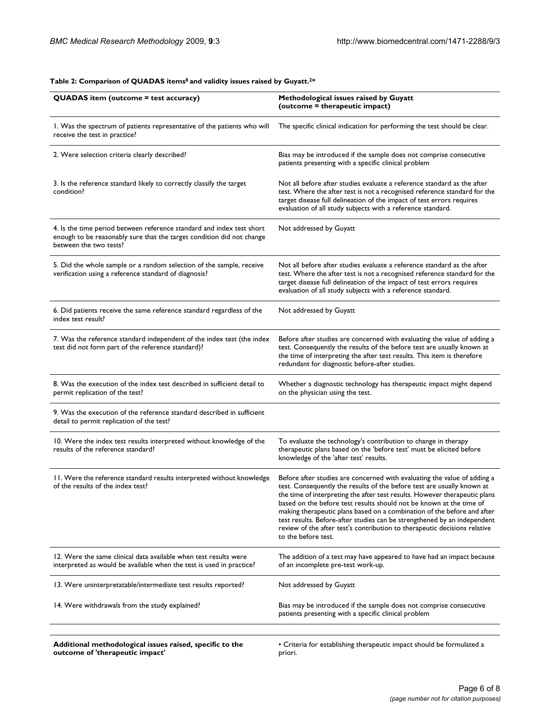## **Table 2: Comparison of QUADAS items8 and validity issues raised by Guyatt.2\***

| <b>QUADAS</b> item (outcome = test accuracy)                                                                                                                             | Methodological issues raised by Guyatt<br>(outcome = therapeutic impact)                                                                                                                                                                                                                                                                                                                                                                                                                                                                                           |
|--------------------------------------------------------------------------------------------------------------------------------------------------------------------------|--------------------------------------------------------------------------------------------------------------------------------------------------------------------------------------------------------------------------------------------------------------------------------------------------------------------------------------------------------------------------------------------------------------------------------------------------------------------------------------------------------------------------------------------------------------------|
| I. Was the spectrum of patients representative of the patients who will<br>receive the test in practice?                                                                 | The specific clinical indication for performing the test should be clear.                                                                                                                                                                                                                                                                                                                                                                                                                                                                                          |
| 2. Were selection criteria clearly described?                                                                                                                            | Bias may be introduced if the sample does not comprise consecutive<br>patients presenting with a specific clinical problem                                                                                                                                                                                                                                                                                                                                                                                                                                         |
| 3. Is the reference standard likely to correctly classify the target<br>condition?                                                                                       | Not all before after studies evaluate a reference standard as the after<br>test. Where the after test is not a recognised reference standard for the<br>target disease full delineation of the impact of test errors requires<br>evaluation of all study subjects with a reference standard.                                                                                                                                                                                                                                                                       |
| 4. Is the time period between reference standard and index test short<br>enough to be reasonably sure that the target condition did not change<br>between the two tests? | Not addressed by Guyatt                                                                                                                                                                                                                                                                                                                                                                                                                                                                                                                                            |
| 5. Did the whole sample or a random selection of the sample, receive<br>verification using a reference standard of diagnosis?                                            | Not all before after studies evaluate a reference standard as the after<br>test. Where the after test is not a recognised reference standard for the<br>target disease full delineation of the impact of test errors requires<br>evaluation of all study subjects with a reference standard.                                                                                                                                                                                                                                                                       |
| 6. Did patients receive the same reference standard regardless of the<br>index test result?                                                                              | Not addressed by Guyatt                                                                                                                                                                                                                                                                                                                                                                                                                                                                                                                                            |
| 7. Was the reference standard independent of the index test (the index<br>test did not form part of the reference standard)?                                             | Before after studies are concerned with evaluating the value of adding a<br>test. Consequently the results of the before test are usually known at<br>the time of interpreting the after test results. This item is therefore<br>redundant for diagnostic before-after studies.                                                                                                                                                                                                                                                                                    |
| 8. Was the execution of the index test described in sufficient detail to<br>permit replication of the test?                                                              | Whether a diagnostic technology has therapeutic impact might depend<br>on the physician using the test.                                                                                                                                                                                                                                                                                                                                                                                                                                                            |
| 9. Was the execution of the reference standard described in sufficient<br>detail to permit replication of the test?                                                      |                                                                                                                                                                                                                                                                                                                                                                                                                                                                                                                                                                    |
| 10. Were the index test results interpreted without knowledge of the<br>results of the reference standard?                                                               | To evaluate the technology's contribution to change in therapy<br>therapeutic plans based on the 'before test' must be elicited before<br>knowledge of the 'after test' results.                                                                                                                                                                                                                                                                                                                                                                                   |
| II. Were the reference standard results interpreted without knowledge<br>of the results of the index test?                                                               | Before after studies are concerned with evaluating the value of adding a<br>test. Consequently the results of the before test are usually known at<br>the time of interpreting the after test results. However therapeutic plans<br>based on the before test results should not be known at the time of<br>making therapeutic plans based on a combination of the before and after<br>test results. Before-after studies can be strengthened by an independent<br>review of the after test's contribution to therapeutic decisions relative<br>to the before test. |
| 12. Were the same clinical data available when test results were<br>interpreted as would be available when the test is used in practice?                                 | The addition of a test may have appeared to have had an impact because<br>of an incomplete pre-test work-up.                                                                                                                                                                                                                                                                                                                                                                                                                                                       |
| 13. Were uninterpretatable/intermediate test results reported?                                                                                                           | Not addressed by Guyatt                                                                                                                                                                                                                                                                                                                                                                                                                                                                                                                                            |
| 14. Were withdrawals from the study explained?                                                                                                                           | Bias may be introduced if the sample does not comprise consecutive<br>patients presenting with a specific clinical problem                                                                                                                                                                                                                                                                                                                                                                                                                                         |
| Additional methodological issues raised, specific to the                                                                                                                 | • Criteria for establishing therapeutic impact should be formulated a                                                                                                                                                                                                                                                                                                                                                                                                                                                                                              |

• Criteria for establishing therapeutic impact should be formulated a priori.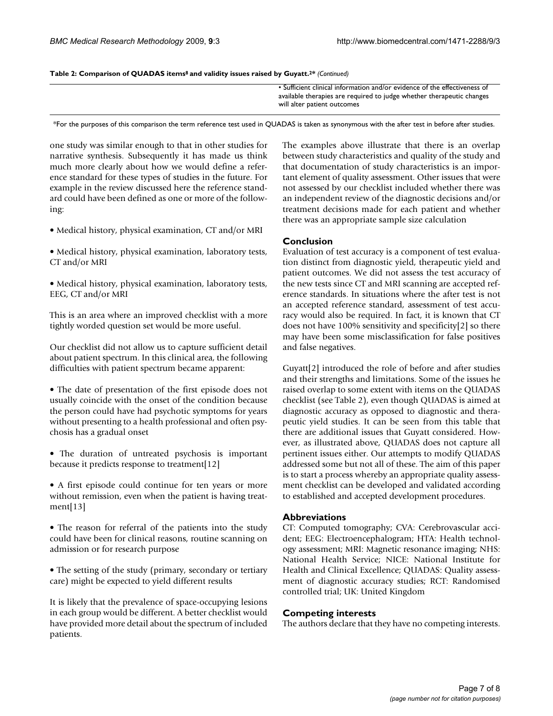Table 2: Comparison of QUADAS items<sup>8</sup> and validity issues raised by Guyatt.<sup>2\*</sup> (Continued)

| • Sufficient clinical information and/or evidence of the effectiveness of                            |
|------------------------------------------------------------------------------------------------------|
| available therapies are required to judge whether therapeutic changes<br>will alter patient outcomes |
|                                                                                                      |
|                                                                                                      |

\*For the purposes of this comparison the term reference test used in QUADAS is taken as synonymous with the after test in before after studies.

one study was similar enough to that in other studies for narrative synthesis. Subsequently it has made us think much more clearly about how we would define a reference standard for these types of studies in the future. For example in the review discussed here the reference standard could have been defined as one or more of the following:

- Medical history, physical examination, CT and/or MRI
- Medical history, physical examination, laboratory tests, CT and/or MRI
- Medical history, physical examination, laboratory tests, EEG, CT and/or MRI

This is an area where an improved checklist with a more tightly worded question set would be more useful.

Our checklist did not allow us to capture sufficient detail about patient spectrum. In this clinical area, the following difficulties with patient spectrum became apparent:

• The date of presentation of the first episode does not usually coincide with the onset of the condition because the person could have had psychotic symptoms for years without presenting to a health professional and often psychosis has a gradual onset

- The duration of untreated psychosis is important because it predicts response to treatment[12]
- A first episode could continue for ten years or more without remission, even when the patient is having treatment[13]
- The reason for referral of the patients into the study could have been for clinical reasons, routine scanning on admission or for research purpose
- The setting of the study (primary, secondary or tertiary care) might be expected to yield different results

It is likely that the prevalence of space-occupying lesions in each group would be different. A better checklist would have provided more detail about the spectrum of included patients.

The examples above illustrate that there is an overlap between study characteristics and quality of the study and that documentation of study characteristics is an important element of quality assessment. Other issues that were not assessed by our checklist included whether there was an independent review of the diagnostic decisions and/or treatment decisions made for each patient and whether there was an appropriate sample size calculation

#### **Conclusion**

Evaluation of test accuracy is a component of test evaluation distinct from diagnostic yield, therapeutic yield and patient outcomes. We did not assess the test accuracy of the new tests since CT and MRI scanning are accepted reference standards. In situations where the after test is not an accepted reference standard, assessment of test accuracy would also be required. In fact, it is known that CT does not have 100% sensitivity and specificity[2] so there may have been some misclassification for false positives and false negatives.

Guyatt[2] introduced the role of before and after studies and their strengths and limitations. Some of the issues he raised overlap to some extent with items on the QUADAS checklist (see Table 2), even though QUADAS is aimed at diagnostic accuracy as opposed to diagnostic and therapeutic yield studies. It can be seen from this table that there are additional issues that Guyatt considered. However, as illustrated above, QUADAS does not capture all pertinent issues either. Our attempts to modify QUADAS addressed some but not all of these. The aim of this paper is to start a process whereby an appropriate quality assessment checklist can be developed and validated according to established and accepted development procedures.

#### **Abbreviations**

CT: Computed tomography; CVA: Cerebrovascular accident; EEG: Electroencephalogram; HTA: Health technology assessment; MRI: Magnetic resonance imaging; NHS: National Health Service; NICE: National Institute for Health and Clinical Excellence; QUADAS: Quality assessment of diagnostic accuracy studies; RCT: Randomised controlled trial; UK: United Kingdom

#### **Competing interests**

The authors declare that they have no competing interests.